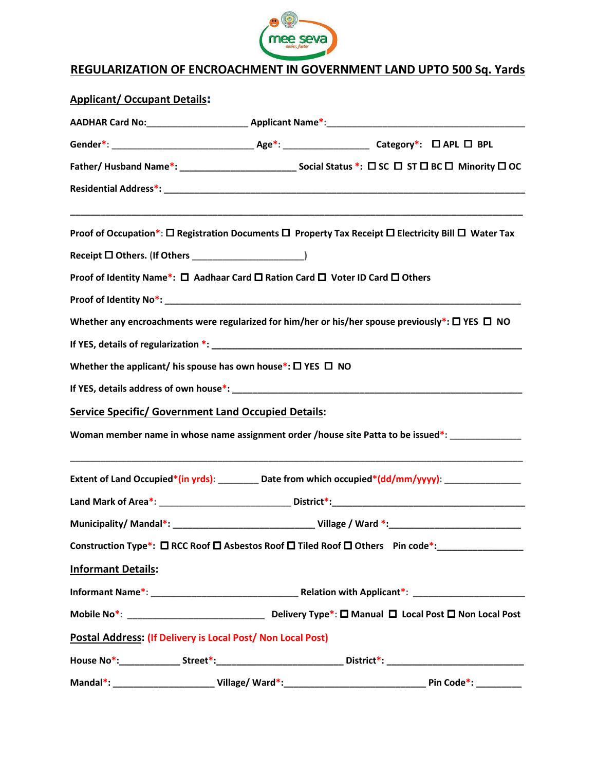

## REGULARIZATION OF ENCROACHMENT IN GOVERNMENT LAND UPTO 500 Sq. Yards

| <b>Applicant/ Occupant Details:</b>                                                                                                                                                                                            |  |  |                                                                                                                     |
|--------------------------------------------------------------------------------------------------------------------------------------------------------------------------------------------------------------------------------|--|--|---------------------------------------------------------------------------------------------------------------------|
|                                                                                                                                                                                                                                |  |  |                                                                                                                     |
|                                                                                                                                                                                                                                |  |  |                                                                                                                     |
|                                                                                                                                                                                                                                |  |  |                                                                                                                     |
|                                                                                                                                                                                                                                |  |  |                                                                                                                     |
|                                                                                                                                                                                                                                |  |  | Proof of Occupation*: □ Registration Documents □ Property Tax Receipt □ Electricity Bill □ Water Tax                |
|                                                                                                                                                                                                                                |  |  |                                                                                                                     |
| Proof of Identity Name*: □ Aadhaar Card □ Ration Card □ Voter ID Card □ Others                                                                                                                                                 |  |  |                                                                                                                     |
|                                                                                                                                                                                                                                |  |  |                                                                                                                     |
|                                                                                                                                                                                                                                |  |  | Whether any encroachments were regularized for him/her or his/her spouse previously*: $\square$ YES $\square$ NO    |
| If YES, details of regularization *: University of the contract of the contract of the contract of the contract of the contract of the contract of the contract of the contract of the contract of the contract of the contrac |  |  |                                                                                                                     |
| Whether the applicant/ his spouse has own house*: $\square$ YES $\square$ NO                                                                                                                                                   |  |  |                                                                                                                     |
|                                                                                                                                                                                                                                |  |  |                                                                                                                     |
| <b>Service Specific/ Government Land Occupied Details:</b>                                                                                                                                                                     |  |  |                                                                                                                     |
|                                                                                                                                                                                                                                |  |  | Woman member name in whose name assignment order /house site Patta to be issued*:                                   |
|                                                                                                                                                                                                                                |  |  | Extent of Land Occupied*(in yrds): _________ Date from which occupied*(dd/mm/yyyy): _______________                 |
|                                                                                                                                                                                                                                |  |  |                                                                                                                     |
| Municipality/Mandal*:                                                                                                                                                                                                          |  |  |                                                                                                                     |
|                                                                                                                                                                                                                                |  |  | Construction Type*: $\Box$ RCC Roof $\Box$ Asbestos Roof $\Box$ Tiled Roof $\Box$ Others Pin code*: _______________ |
| <b>Informant Details:</b>                                                                                                                                                                                                      |  |  |                                                                                                                     |
|                                                                                                                                                                                                                                |  |  |                                                                                                                     |
|                                                                                                                                                                                                                                |  |  |                                                                                                                     |
| Postal Address: (If Delivery is Local Post/ Non Local Post)                                                                                                                                                                    |  |  |                                                                                                                     |
|                                                                                                                                                                                                                                |  |  | House No*:_______________Street*:________________________________District*: _____________________________           |
|                                                                                                                                                                                                                                |  |  |                                                                                                                     |